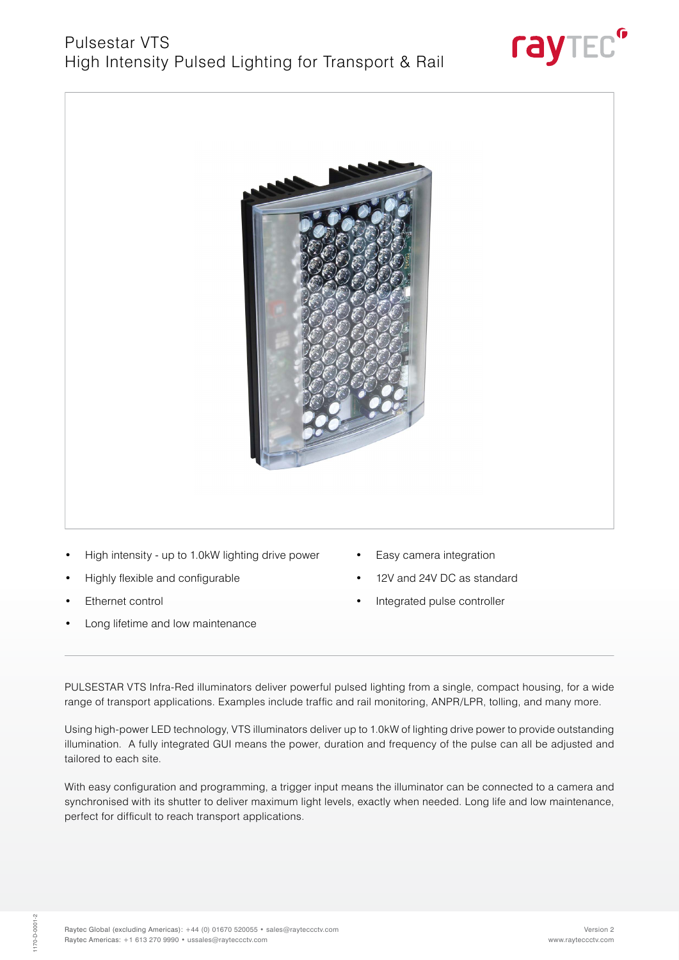



- High intensity up to 1.0kW lighting drive power
- Highly flexible and configurable
- Ethernet control
- Long lifetime and low maintenance
- Easy camera integration
- 12V and 24V DC as standard
- Integrated pulse controller

PULSESTAR VTS Infra-Red illuminators deliver powerful pulsed lighting from a single, compact housing, for a wide range of transport applications. Examples include traffic and rail monitoring, ANPR/LPR, tolling, and many more.

Using high-power LED technology, VTS illuminators deliver up to 1.0kW of lighting drive power to provide outstanding illumination. A fully integrated GUI means the power, duration and frequency of the pulse can all be adjusted and tailored to each site.

With easy configuration and programming, a trigger input means the illuminator can be connected to a camera and synchronised with its shutter to deliver maximum light levels, exactly when needed. Long life and low maintenance, perfect for difficult to reach transport applications.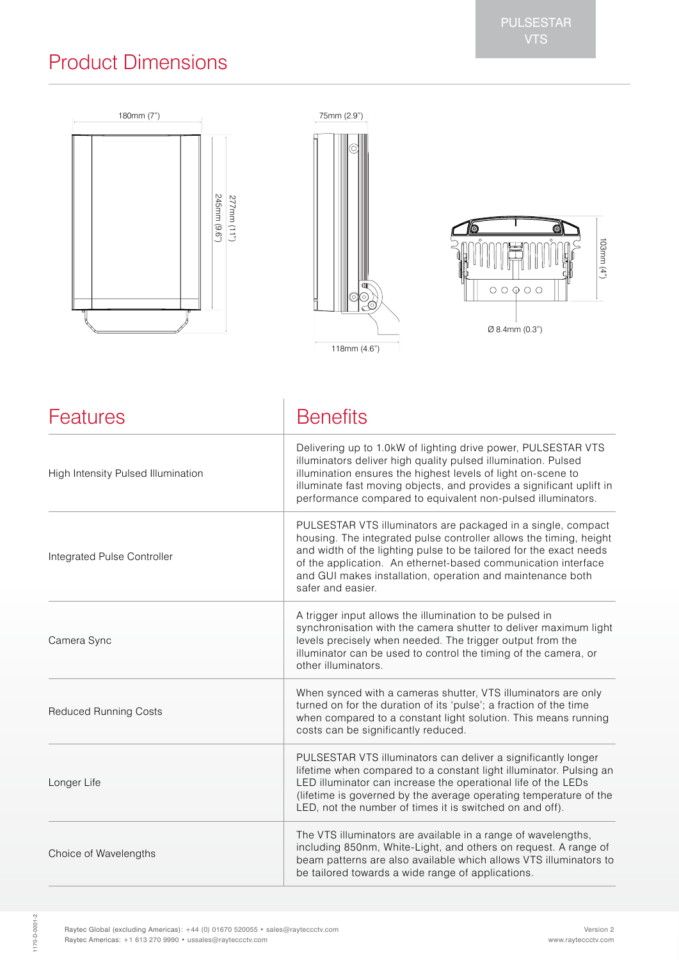# PULSESTAR

## Product Dimensions



| Features                           | <b>Benefits</b>                                                                                                                                                                                                                                                                                                                                              |
|------------------------------------|--------------------------------------------------------------------------------------------------------------------------------------------------------------------------------------------------------------------------------------------------------------------------------------------------------------------------------------------------------------|
| High Intensity Pulsed Illumination | Delivering up to 1.0kW of lighting drive power, PULSESTAR VTS<br>illuminators deliver high quality pulsed illumination. Pulsed<br>illumination ensures the highest levels of light on-scene to<br>illuminate fast moving objects, and provides a significant uplift in<br>performance compared to equivalent non-pulsed illuminators.                        |
| Integrated Pulse Controller        | PULSESTAR VTS illuminators are packaged in a single, compact<br>housing. The integrated pulse controller allows the timing, height<br>and width of the lighting pulse to be tailored for the exact needs<br>of the application. An ethernet-based communication interface<br>and GUI makes installation, operation and maintenance both<br>safer and easier. |
| Camera Sync                        | A trigger input allows the illumination to be pulsed in<br>synchronisation with the camera shutter to deliver maximum light<br>levels precisely when needed. The trigger output from the<br>illuminator can be used to control the timing of the camera, or<br>other illuminators.                                                                           |
| <b>Reduced Running Costs</b>       | When synced with a cameras shutter, VTS illuminators are only<br>turned on for the duration of its 'pulse'; a fraction of the time<br>when compared to a constant light solution. This means running<br>costs can be significantly reduced.                                                                                                                  |
| Longer Life                        | PULSESTAR VTS illuminators can deliver a significantly longer<br>lifetime when compared to a constant light illuminator. Pulsing an<br>LED illuminator can increase the operational life of the LEDs<br>(lifetime is governed by the average operating temperature of the<br>LED, not the number of times it is switched on and off).                        |
| Choice of Wavelengths              | The VTS illuminators are available in a range of wavelengths,<br>including 850nm, White-Light, and others on request. A range of<br>beam patterns are also available which allows VTS illuminators to<br>be tailored towards a wide range of applications.                                                                                                   |

1170-D-0001-2 1170-D-0001-2